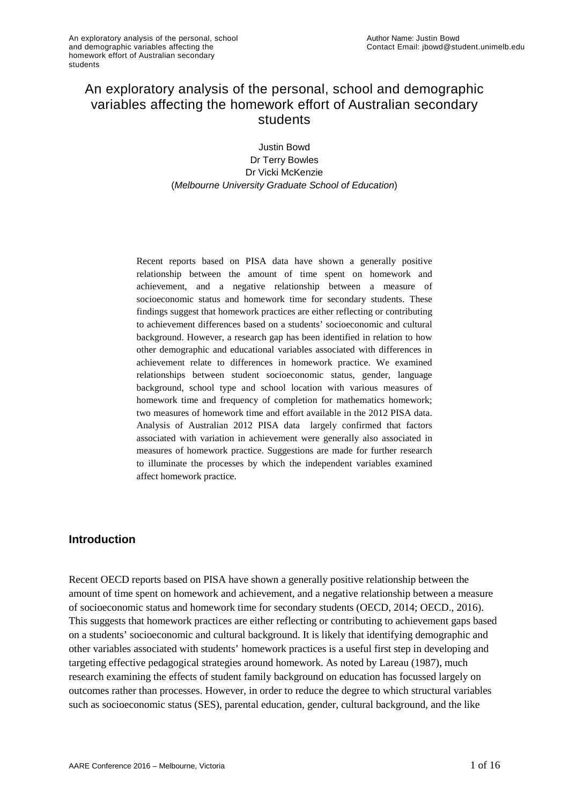# An exploratory analysis of the personal, school and demographic variables affecting the homework effort of Australian secondary students

Justin Bowd Dr Terry Bowles Dr Vicki McKenzie (*Melbourne University Graduate School of Education*)

Recent reports based on PISA data have shown a generally positive relationship between the amount of time spent on homework and achievement, and a negative relationship between a measure of socioeconomic status and homework time for secondary students. These findings suggest that homework practices are either reflecting or contributing to achievement differences based on a students' socioeconomic and cultural background. However, a research gap has been identified in relation to how other demographic and educational variables associated with differences in achievement relate to differences in homework practice. We examined relationships between student socioeconomic status, gender, language background, school type and school location with various measures of homework time and frequency of completion for mathematics homework; two measures of homework time and effort available in the 2012 PISA data. Analysis of Australian 2012 PISA data largely confirmed that factors associated with variation in achievement were generally also associated in measures of homework practice. Suggestions are made for further research to illuminate the processes by which the independent variables examined affect homework practice.

#### **Introduction**

Recent OECD reports based on PISA have shown a generally positive relationship between the amount of time spent on homework and achievement, and a negative relationship between a measure of socioeconomic status and homework time for secondary students [\(OECD, 2014;](#page-15-0) [OECD., 2016\)](#page-15-1). This suggests that homework practices are either reflecting or contributing to achievement gaps based on a students' socioeconomic and cultural background. It is likely that identifying demographic and other variables associated with students' homework practices is a useful first step in developing and targeting effective pedagogical strategies around homework. As noted by [Lareau \(1987\),](#page-14-0) much research examining the effects of student family background on education has focussed largely on outcomes rather than processes. However, in order to reduce the degree to which structural variables such as socioeconomic status (SES), parental education, gender, cultural background, and the like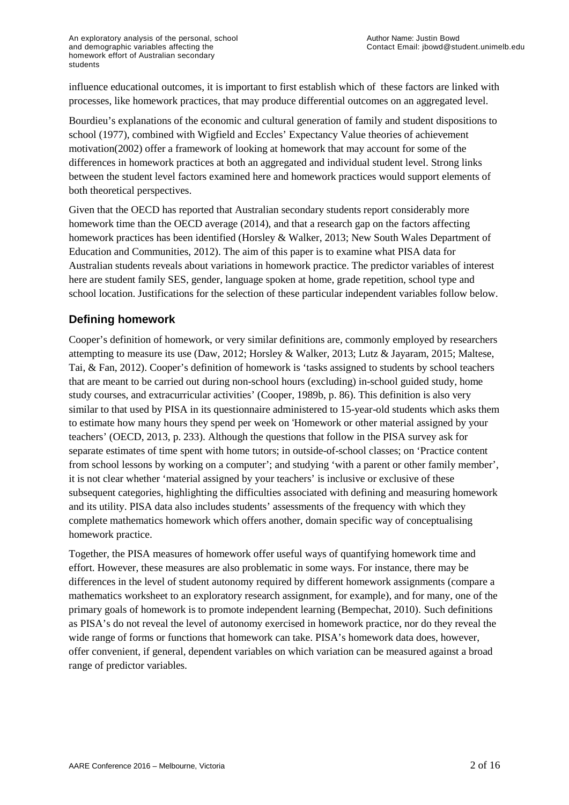influence educational outcomes, it is important to first establish which of these factors are linked with processes, like homework practices, that may produce differential outcomes on an aggregated level.

Bourdieu's explanations of the economic and cultural generation of family and student dispositions to school [\(1977\)](#page-14-1), combined with Wigfield and Eccles' Expectancy Value theories of achievement motivation[\(2002\)](#page-15-2) offer a framework of looking at homework that may account for some of the differences in homework practices at both an aggregated and individual student level. Strong links between the student level factors examined here and homework practices would support elements of both theoretical perspectives.

Given that the OECD has reported that Australian secondary students report considerably more homework time than the OECD average [\(2014\)](#page-15-0), and that a research gap on the factors affecting homework practices has been identified [\(Horsley & Walker, 2013;](#page-14-2) [New South Wales Department of](#page-15-3)  [Education and Communities, 2012\)](#page-15-3). The aim of this paper is to examine what PISA data for Australian students reveals about variations in homework practice. The predictor variables of interest here are student family SES, gender, language spoken at home, grade repetition, school type and school location. Justifications for the selection of these particular independent variables follow below.

# **Defining homework**

Cooper's definition of homework, or very similar definitions are, commonly employed by researchers attempting to measure its use [\(Daw, 2012;](#page-14-3) [Horsley & Walker, 2013;](#page-14-2) [Lutz & Jayaram, 2015;](#page-14-4) [Maltese,](#page-14-5)  [Tai, & Fan, 2012\)](#page-14-5). Cooper's definition of homework is 'tasks assigned to students by school teachers that are meant to be carried out during non-school hours (excluding) in-school guided study, home study courses, and extracurricular activities' [\(Cooper, 1989b, p. 86\)](#page-14-6). This definition is also very similar to that used by PISA in its questionnaire administered to 15-year-old students which asks them to estimate how many hours they spend per week on 'Homework or other material assigned by your teachers' [\(OECD, 2013, p. 233\)](#page-15-4). Although the questions that follow in the PISA survey ask for separate estimates of time spent with home tutors; in outside-of-school classes; on 'Practice content from school lessons by working on a computer'; and studying 'with a parent or other family member', it is not clear whether 'material assigned by your teachers' is inclusive or exclusive of these subsequent categories, highlighting the difficulties associated with defining and measuring homework and its utility. PISA data also includes students' assessments of the frequency with which they complete mathematics homework which offers another, domain specific way of conceptualising homework practice.

Together, the PISA measures of homework offer useful ways of quantifying homework time and effort. However, these measures are also problematic in some ways. For instance, there may be differences in the level of student autonomy required by different homework assignments (compare a mathematics worksheet to an exploratory research assignment, for example), and for many, one of the primary goals of homework is to promote independent learning [\(Bempechat, 2010\)](#page-13-0). Such definitions as PISA's do not reveal the level of autonomy exercised in homework practice, nor do they reveal the wide range of forms or functions that homework can take. PISA's homework data does, however, offer convenient, if general, dependent variables on which variation can be measured against a broad range of predictor variables.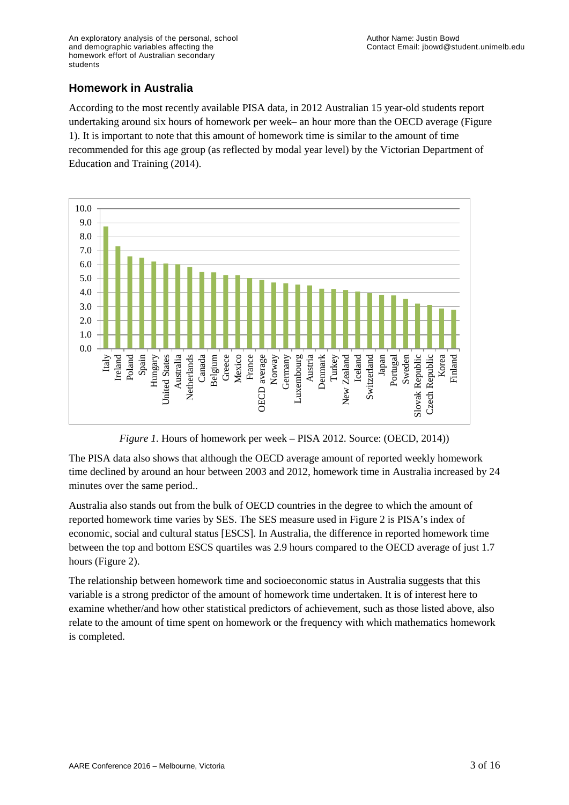### **Homework in Australia**

According to the most recently available PISA data, in 2012 Australian 15 year-old students report undertaking around six hours of homework per week– an hour more than the OECD average (Figure 1). It is important to note that this amount of homework time is similar to the amount of time recommended for this age group (as reflected by modal year level) by the Victorian Department of Education and Training [\(2014\)](#page-14-7).



*Figure 1*. Hours of homework per week – PISA 2012. Source: [\(OECD, 2014\)](#page-15-0))

The PISA data also shows that although the OECD average amount of reported weekly homework time declined by around an hour between 2003 and 2012, homework time in Australia increased by 24 minutes over the same period..

Australia also stands out from the bulk of OECD countries in the degree to which the amount of reported homework time varies by SES. The SES measure used in Figure 2 is PISA's index of economic, social and cultural status [ESCS]. In Australia, the difference in reported homework time between the top and bottom ESCS quartiles was 2.9 hours compared to the OECD average of just 1.7 hours (Figure 2).

The relationship between homework time and socioeconomic status in Australia suggests that this variable is a strong predictor of the amount of homework time undertaken. It is of interest here to examine whether/and how other statistical predictors of achievement, such as those listed above, also relate to the amount of time spent on homework or the frequency with which mathematics homework is completed.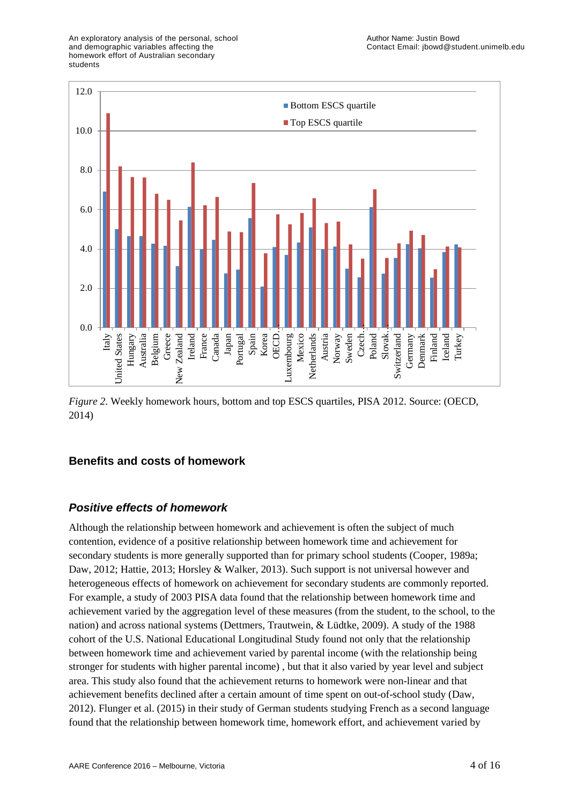

*Figure 2*. Weekly homework hours, bottom and top ESCS quartiles, PISA 2012. Source: [\(OECD,](#page-15-0)  [2014\)](#page-15-0)

# **Benefits and costs of homework**

# *Positive effects of homework*

Although the relationship between homework and achievement is often the subject of much contention, evidence of a positive relationship between homework time and achievement for secondary students is more generally supported than for primary school students [\(Cooper, 1989a;](#page-14-8) [Daw, 2012;](#page-14-3) [Hattie, 2013;](#page-14-9) [Horsley & Walker, 2013\)](#page-14-2). Such support is not universal however and heterogeneous effects of homework on achievement for secondary students are commonly reported. For example, a study of 2003 PISA data found that the relationship between homework time and achievement varied by the aggregation level of these measures (from the student, to the school, to the nation) and across national systems [\(Dettmers, Trautwein, & Lüdtke, 2009\)](#page-14-10). A study of the 1988 cohort of the U.S. National Educational Longitudinal Study found not only that the relationship between homework time and achievement varied by parental income (with the relationship being stronger for students with higher parental income) , but that it also varied by year level and subject area. This study also found that the achievement returns to homework were non-linear and that achievement benefits declined after a certain amount of time spent on out-of-school study [\(Daw,](#page-14-3)  [2012\)](#page-14-3). Flunger et al. [\(2015\)](#page-14-11) in their study of German students studying French as a second language found that the relationship between homework time, homework effort, and achievement varied by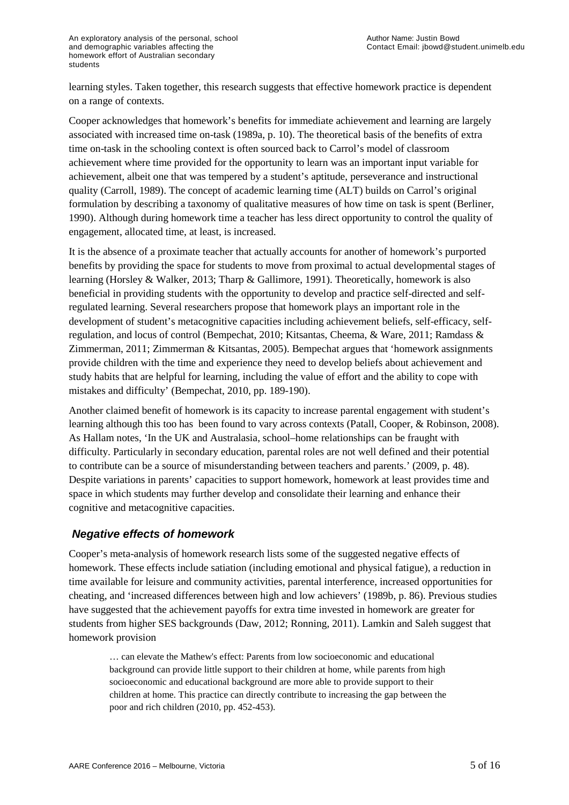learning styles. Taken together, this research suggests that effective homework practice is dependent on a range of contexts.

Cooper acknowledges that homework's benefits for immediate achievement and learning are largely associated with increased time on-task [\(1989a, p. 10\)](#page-14-8). The theoretical basis of the benefits of extra time on-task in the schooling context is often sourced back to Carrol's model of classroom achievement where time provided for the opportunity to learn was an important input variable for achievement, albeit one that was tempered by a student's aptitude, perseverance and instructional quality [\(Carroll, 1989\)](#page-14-12). The concept of academic learning time (ALT) builds on Carrol's original formulation by describing a taxonomy of qualitative measures of how time on task is spent [\(Berliner,](#page-13-1)  [1990\)](#page-13-1). Although during homework time a teacher has less direct opportunity to control the quality of engagement, allocated time, at least, is increased.

It is the absence of a proximate teacher that actually accounts for another of homework's purported benefits by providing the space for students to move from proximal to actual developmental stages of learning [\(Horsley & Walker, 2013;](#page-14-2) [Tharp & Gallimore, 1991\)](#page-15-5). Theoretically, homework is also beneficial in providing students with the opportunity to develop and practice self-directed and selfregulated learning. Several researchers propose that homework plays an important role in the development of student's metacognitive capacities including achievement beliefs, self-efficacy, selfregulation, and locus of control [\(Bempechat, 2010;](#page-13-0) [Kitsantas, Cheema, & Ware, 2011;](#page-14-13) [Ramdass &](#page-15-6)  [Zimmerman, 2011;](#page-15-6) [Zimmerman & Kitsantas, 2005\)](#page-15-7). Bempechat argues that 'homework assignments provide children with the time and experience they need to develop beliefs about achievement and study habits that are helpful for learning, including the value of effort and the ability to cope with mistakes and difficulty' [\(Bempechat, 2010, pp. 189-190\)](#page-13-0).

Another claimed benefit of homework is its capacity to increase parental engagement with student's learning although this too has been found to vary across contexts [\(Patall, Cooper, & Robinson, 2008\)](#page-15-8). As Hallam notes, 'In the UK and Australasia, school–home relationships can be fraught with difficulty. Particularly in secondary education, parental roles are not well defined and their potential to contribute can be a source of misunderstanding between teachers and parents.' [\(2009, p. 48\)](#page-14-14). Despite variations in parents' capacities to support homework, homework at least provides time and space in which students may further develop and consolidate their learning and enhance their cognitive and metacognitive capacities.

#### *Negative effects of homework*

Cooper's meta-analysis of homework research lists some of the suggested negative effects of homework. These effects include satiation (including emotional and physical fatigue), a reduction in time available for leisure and community activities, parental interference, increased opportunities for cheating, and 'increased differences between high and low achievers' [\(1989b, p. 86\)](#page-14-6). Previous studies have suggested that the achievement payoffs for extra time invested in homework are greater for students from higher SES backgrounds [\(Daw, 2012;](#page-14-3) [Ronning, 2011\)](#page-15-9). Lamkin and Saleh suggest that homework provision

… can elevate the Mathew's effect: Parents from low socioeconomic and educational background can provide little support to their children at home, while parents from high socioeconomic and educational background are more able to provide support to their children at home. This practice can directly contribute to increasing the gap between the poor and rich children [\(2010, pp. 452-453\)](#page-14-15).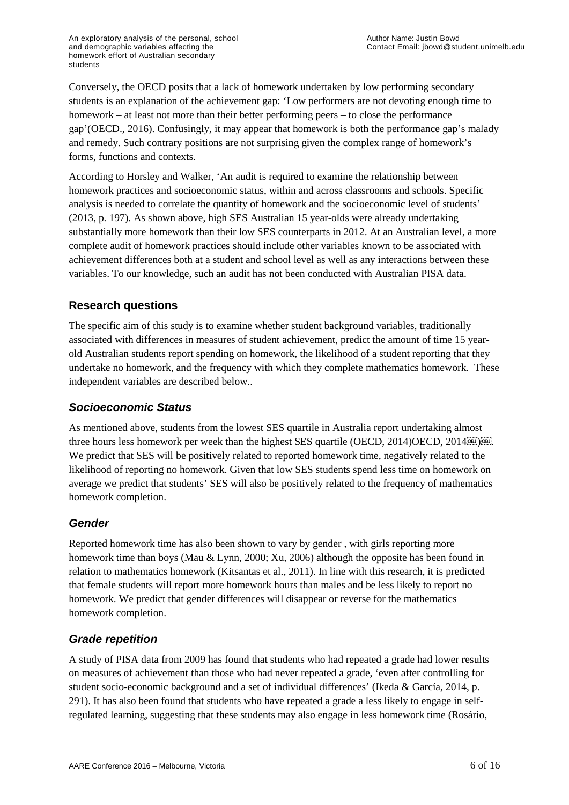Conversely, the OECD posits that a lack of homework undertaken by low performing secondary students is an explanation of the achievement gap: 'Low performers are not devoting enough time to homework – at least not more than their better performing peers – to close the performance gap'[\(OECD., 2016\)](#page-15-1). Confusingly, it may appear that homework is both the performance gap's malady and remedy. Such contrary positions are not surprising given the complex range of homework's forms, functions and contexts.

According to Horsley and Walker, 'An audit is required to examine the relationship between homework practices and socioeconomic status, within and across classrooms and schools. Specific analysis is needed to correlate the quantity of homework and the socioeconomic level of students' [\(2013, p. 197\)](#page-14-2). As shown above, high SES Australian 15 year-olds were already undertaking substantially more homework than their low SES counterparts in 2012. At an Australian level, a more complete audit of homework practices should include other variables known to be associated with achievement differences both at a student and school level as well as any interactions between these variables. To our knowledge, such an audit has not been conducted with Australian PISA data.

# **Research questions**

The specific aim of this study is to examine whether student background variables, traditionally associated with differences in measures of student achievement, predict the amount of time 15 yearold Australian students report spending on homework, the likelihood of a student reporting that they undertake no homework, and the frequency with which they complete mathematics homework. These independent variables are described below..

#### *Socioeconomic Status*

As mentioned above, students from the lowest SES quartile in Australia report undertaking almost three hours less homework per week than the highest SES quartile [\(OECD, 2014\)](#page-15-0)OECD, 2014. We predict that SES will be positively related to reported homework time, negatively related to the likelihood of reporting no homework. Given that low SES students spend less time on homework on average we predict that students' SES will also be positively related to the frequency of mathematics homework completion.

#### *Gender*

Reported homework time has also been shown to vary by gender , with girls reporting more homework time than boys [\(Mau & Lynn, 2000;](#page-14-16) [Xu, 2006\)](#page-15-10) although the opposite has been found in relation to mathematics homework [\(Kitsantas et al., 2011\)](#page-14-13). In line with this research, it is predicted that female students will report more homework hours than males and be less likely to report no homework. We predict that gender differences will disappear or reverse for the mathematics homework completion.

# *Grade repetition*

A study of PISA data from 2009 has found that students who had repeated a grade had lower results on measures of achievement than those who had never repeated a grade, 'even after controlling for student socio-economic background and a set of individual differences' [\(Ikeda & García, 2014, p.](#page-14-17)  [291\)](#page-14-17). It has also been found that students who have repeated a grade a less likely to engage in selfregulated learning, suggesting that these students may also engage in less homework time [\(Rosário,](#page-15-11)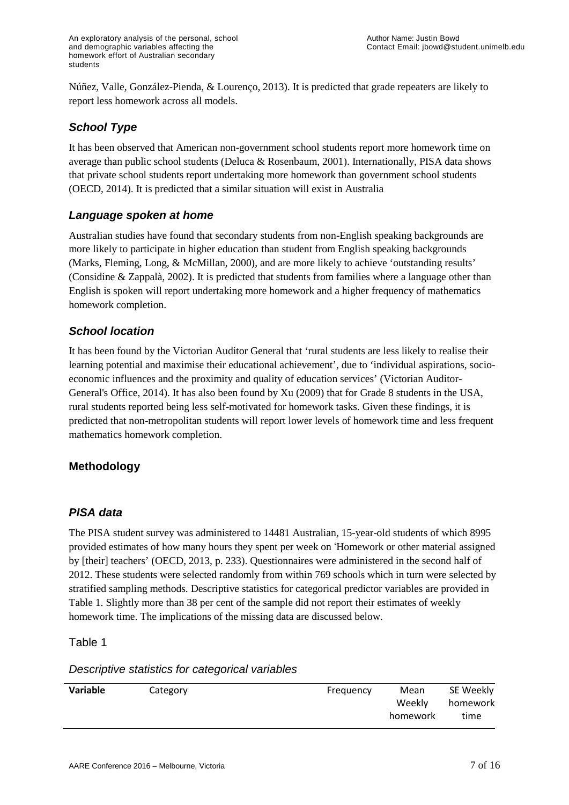[Núñez, Valle, González-Pienda, & Lourenço, 2013\)](#page-15-11). It is predicted that grade repeaters are likely to report less homework across all models.

# *School Type*

It has been observed that American non-government school students report more homework time on average than public school students [\(Deluca & Rosenbaum, 2001\)](#page-14-18). Internationally, PISA data shows that private school students report undertaking more homework than government school students [\(OECD, 2014\)](#page-15-0). It is predicted that a similar situation will exist in Australia

### *Language spoken at home*

Australian studies have found that secondary students from non-English speaking backgrounds are more likely to participate in higher education than student from English speaking backgrounds [\(Marks, Fleming, Long, & McMillan, 2000\)](#page-14-19), and are more likely to achieve 'outstanding results' [\(Considine & Zappalà, 2002\)](#page-14-20). It is predicted that students from families where a language other than English is spoken will report undertaking more homework and a higher frequency of mathematics homework completion.

### *School location*

It has been found by the Victorian Auditor General that 'rural students are less likely to realise their learning potential and maximise their educational achievement', due to 'individual aspirations, socioeconomic influences and the proximity and quality of education services' [\(Victorian Auditor-](#page-15-12)[General's Office, 2014\)](#page-15-12). It has also been found b[y Xu \(2009\)](#page-15-13) that for Grade 8 students in the USA, rural students reported being less self-motivated for homework tasks. Given these findings, it is predicted that non-metropolitan students will report lower levels of homework time and less frequent mathematics homework completion.

#### **Methodology**

#### *PISA data*

The PISA student survey was administered to 14481 Australian, 15-year-old students of which 8995 provided estimates of how many hours they spent per week on 'Homework or other material assigned by [their] teachers' [\(OECD, 2013, p. 233\)](#page-15-4). Questionnaires were administered in the second half of 2012. These students were selected randomly from within 769 schools which in turn were selected by stratified sampling methods. Descriptive statistics for categorical predictor variables are provided in Table 1. Slightly more than 38 per cent of the sample did not report their estimates of weekly homework time. The implications of the missing data are discussed below.

Table 1

#### *Descriptive statistics for categorical variables*

| Variable | Category | Frequency | SE Weekly<br>Mean                      |
|----------|----------|-----------|----------------------------------------|
|          |          |           | Weekly<br>homework<br>time<br>homework |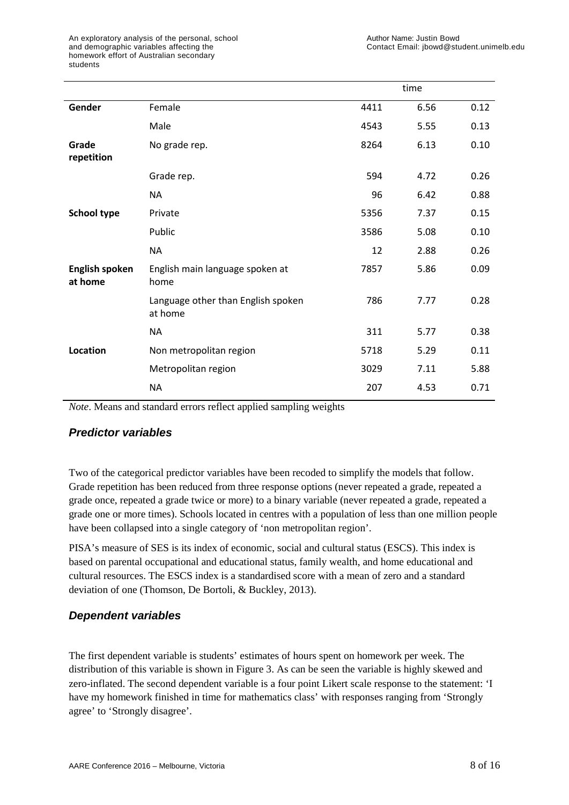|                                  |                                               |      | time |      |
|----------------------------------|-----------------------------------------------|------|------|------|
| Gender                           | Female                                        | 4411 | 6.56 | 0.12 |
|                                  | Male                                          | 4543 | 5.55 | 0.13 |
| Grade<br>repetition              | No grade rep.                                 | 8264 | 6.13 | 0.10 |
|                                  | Grade rep.                                    | 594  | 4.72 | 0.26 |
|                                  | <b>NA</b>                                     | 96   | 6.42 | 0.88 |
| <b>School type</b>               | Private                                       | 5356 | 7.37 | 0.15 |
|                                  | Public                                        | 3586 | 5.08 | 0.10 |
|                                  | <b>NA</b>                                     | 12   | 2.88 | 0.26 |
| <b>English spoken</b><br>at home | English main language spoken at<br>home       | 7857 | 5.86 | 0.09 |
|                                  | Language other than English spoken<br>at home | 786  | 7.77 | 0.28 |
|                                  | <b>NA</b>                                     | 311  | 5.77 | 0.38 |
| Location                         | Non metropolitan region                       | 5718 | 5.29 | 0.11 |
|                                  | Metropolitan region                           | 3029 | 7.11 | 5.88 |
|                                  | <b>NA</b>                                     | 207  | 4.53 | 0.71 |

*Note*. Means and standard errors reflect applied sampling weights

#### *Predictor variables*

Two of the categorical predictor variables have been recoded to simplify the models that follow. Grade repetition has been reduced from three response options (never repeated a grade, repeated a grade once, repeated a grade twice or more) to a binary variable (never repeated a grade, repeated a grade one or more times). Schools located in centres with a population of less than one million people have been collapsed into a single category of 'non metropolitan region'.

PISA's measure of SES is its index of economic, social and cultural status (ESCS). This index is based on parental occupational and educational status, family wealth, and home educational and cultural resources. The ESCS index is a standardised score with a mean of zero and a standard deviation of one [\(Thomson, De Bortoli, & Buckley, 2013\)](#page-15-14).

# *Dependent variables*

The first dependent variable is students' estimates of hours spent on homework per week. The distribution of this variable is shown in Figure 3. As can be seen the variable is highly skewed and zero-inflated. The second dependent variable is a four point Likert scale response to the statement: 'I have my homework finished in time for mathematics class' with responses ranging from 'Strongly agree' to 'Strongly disagree'.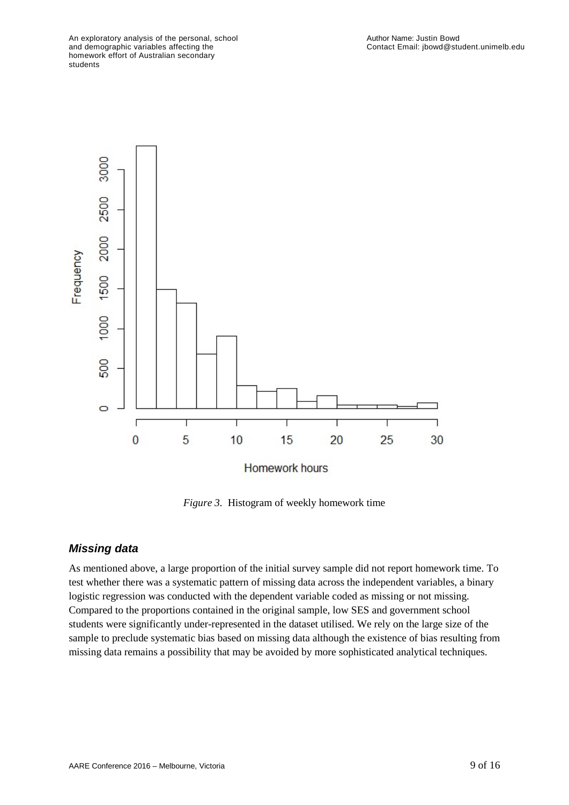

*Figure 3.* Histogram of weekly homework time

#### *Missing data*

As mentioned above, a large proportion of the initial survey sample did not report homework time. To test whether there was a systematic pattern of missing data across the independent variables, a binary logistic regression was conducted with the dependent variable coded as missing or not missing. Compared to the proportions contained in the original sample, low SES and government school students were significantly under-represented in the dataset utilised. We rely on the large size of the sample to preclude systematic bias based on missing data although the existence of bias resulting from missing data remains a possibility that may be avoided by more sophisticated analytical techniques.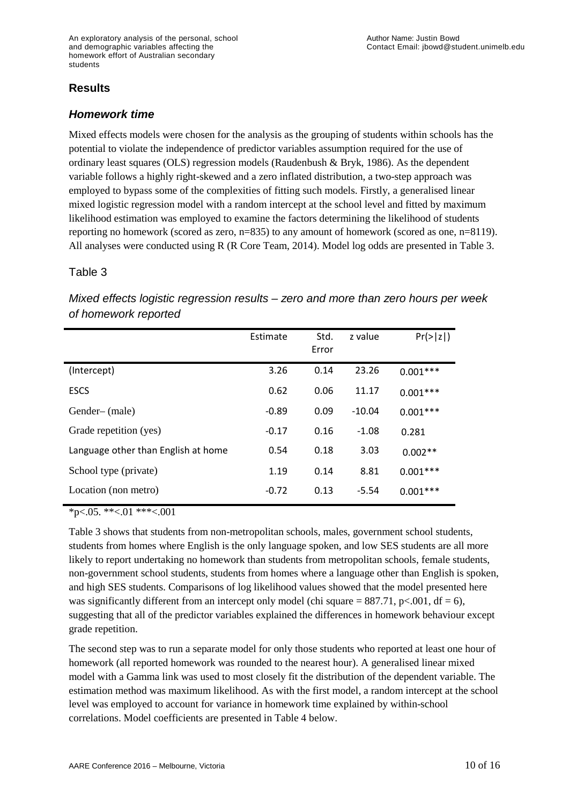### **Results**

#### *Homework time*

Mixed effects models were chosen for the analysis as the grouping of students within schools has the potential to violate the independence of predictor variables assumption required for the use of ordinary least squares (OLS) regression models [\(Raudenbush & Bryk, 1986\)](#page-15-15). As the dependent variable follows a highly right-skewed and a zero inflated distribution, a two-step approach was employed to bypass some of the complexities of fitting such models. Firstly, a generalised linear mixed logistic regression model with a random intercept at the school level and fitted by maximum likelihood estimation was employed to examine the factors determining the likelihood of students reporting no homework (scored as zero, n=835) to any amount of homework (scored as one, n=8119). All analyses were conducted using R [\(R Core Team, 2014\)](#page-15-16). Model log odds are presented in Table 3.

#### Table 3

|                                     | Estimate | Std.<br>Error | z value  | Pr(> z )   |
|-------------------------------------|----------|---------------|----------|------------|
| (Intercept)                         | 3.26     | 0.14          | 23.26    | $0.001***$ |
| <b>ESCS</b>                         | 0.62     | 0.06          | 11.17    | $0.001***$ |
| Gender-(male)                       | $-0.89$  | 0.09          | $-10.04$ | $0.001***$ |
| Grade repetition (yes)              | $-0.17$  | 0.16          | $-1.08$  | 0.281      |
| Language other than English at home | 0.54     | 0.18          | 3.03     | $0.002**$  |
| School type (private)               | 1.19     | 0.14          | 8.81     | $0.001***$ |
| Location (non metro)                | $-0.72$  | 0.13          | $-5.54$  | $0.001***$ |

*Mixed effects logistic regression results – zero and more than zero hours per week of homework reported*

 $*_{p<.05}$ . \*\*<.01 \*\*\*<.001

Table 3 shows that students from non-metropolitan schools, males, government school students, students from homes where English is the only language spoken, and low SES students are all more likely to report undertaking no homework than students from metropolitan schools, female students, non-government school students, students from homes where a language other than English is spoken, and high SES students. Comparisons of log likelihood values showed that the model presented here was significantly different from an intercept only model (chi square =  $887.71$ , p<.001, df = 6), suggesting that all of the predictor variables explained the differences in homework behaviour except grade repetition.

The second step was to run a separate model for only those students who reported at least one hour of homework (all reported homework was rounded to the nearest hour). A generalised linear mixed model with a Gamma link was used to most closely fit the distribution of the dependent variable. The estimation method was maximum likelihood. As with the first model, a random intercept at the school level was employed to account for variance in homework time explained by within-school correlations. Model coefficients are presented in Table 4 below.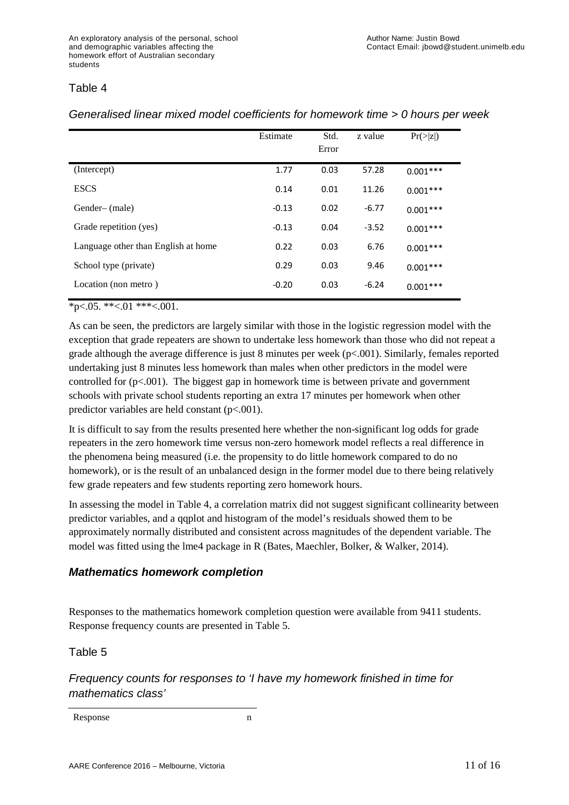#### Table 4

|                                     | Estimate | Std.<br>Error | z value | Pr(> z )   |
|-------------------------------------|----------|---------------|---------|------------|
| (Intercept)                         | 1.77     | 0.03          | 57.28   | $0.001***$ |
| <b>ESCS</b>                         | 0.14     | 0.01          | 11.26   | $0.001***$ |
| Gender- (male)                      | $-0.13$  | 0.02          | $-6.77$ | $0.001***$ |
| Grade repetition (yes)              | $-0.13$  | 0.04          | $-3.52$ | $0.001***$ |
| Language other than English at home | 0.22     | 0.03          | 6.76    | $0.001***$ |
| School type (private)               | 0.29     | 0.03          | 9.46    | $0.001***$ |
| Location (non metro)                | $-0.20$  | 0.03          | $-6.24$ | $0.001***$ |

#### *Generalised linear mixed model coefficients for homework time > 0 hours per week*

 $*p<.05.$  \*\*<.01 \*\*\*<.001.

As can be seen, the predictors are largely similar with those in the logistic regression model with the exception that grade repeaters are shown to undertake less homework than those who did not repeat a grade although the average difference is just 8 minutes per week  $(p<.001)$ . Similarly, females reported undertaking just 8 minutes less homework than males when other predictors in the model were controlled for (p<.001). The biggest gap in homework time is between private and government schools with private school students reporting an extra 17 minutes per homework when other predictor variables are held constant (p<.001).

It is difficult to say from the results presented here whether the non-significant log odds for grade repeaters in the zero homework time versus non-zero homework model reflects a real difference in the phenomena being measured (i.e. the propensity to do little homework compared to do no homework), or is the result of an unbalanced design in the former model due to there being relatively few grade repeaters and few students reporting zero homework hours.

In assessing the model in Table 4, a correlation matrix did not suggest significant collinearity between predictor variables, and a qqplot and histogram of the model's residuals showed them to be approximately normally distributed and consistent across magnitudes of the dependent variable. The model was fitted using the lme4 package in R [\(Bates, Maechler, Bolker, & Walker, 2014\)](#page-13-2).

# *Mathematics homework completion*

Responses to the mathematics homework completion question were available from 9411 students. Response frequency counts are presented in Table 5.

#### Table 5

*Frequency counts for responses to 'I have my homework finished in time for mathematics class'*

Response n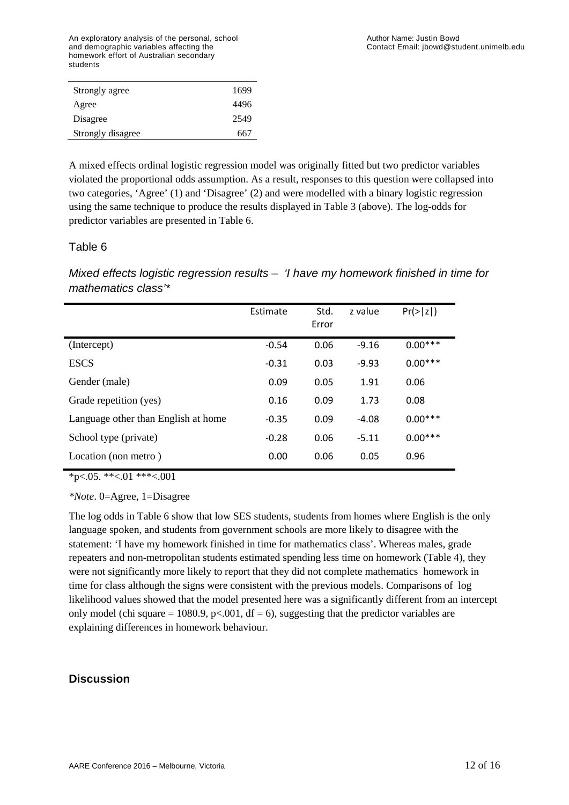An exploratory analysis of the personal, school and demographic variables affecting the homework effort of Australian secondary students

| Strongly agree    | 1699 |
|-------------------|------|
| Agree             | 4496 |
| Disagree          | 2549 |
| Strongly disagree | 667  |
|                   |      |

A mixed effects ordinal logistic regression model was originally fitted but two predictor variables violated the proportional odds assumption. As a result, responses to this question were collapsed into two categories, 'Agree' (1) and 'Disagree' (2) and were modelled with a binary logistic regression using the same technique to produce the results displayed in Table 3 (above). The log-odds for predictor variables are presented in Table 6.

#### Table 6

*Mixed effects logistic regression results – 'I have my homework finished in time for mathematics class'\**

|                                     | Estimate | Std.<br>Error | z value | $Pr(>\vert z \vert)$ |
|-------------------------------------|----------|---------------|---------|----------------------|
| (Intercept)                         | $-0.54$  | 0.06          | $-9.16$ | $0.00***$            |
| <b>ESCS</b>                         | $-0.31$  | 0.03          | $-9.93$ | $0.00***$            |
| Gender (male)                       | 0.09     | 0.05          | 1.91    | 0.06                 |
| Grade repetition (yes)              | 0.16     | 0.09          | 1.73    | 0.08                 |
| Language other than English at home | $-0.35$  | 0.09          | $-4.08$ | $0.00***$            |
| School type (private)               | $-0.28$  | 0.06          | $-5.11$ | $0.00***$            |
| Location (non metro)                | 0.00     | 0.06          | 0.05    | 0.96                 |

 $*_{p<.05}$ . \*\*<.01 \*\*\*<.001

*\*Note*. 0=Agree, 1=Disagree

The log odds in Table 6 show that low SES students, students from homes where English is the only language spoken, and students from government schools are more likely to disagree with the statement: 'I have my homework finished in time for mathematics class'. Whereas males, grade repeaters and non-metropolitan students estimated spending less time on homework (Table 4), they were not significantly more likely to report that they did not complete mathematics homework in time for class although the signs were consistent with the previous models. Comparisons of log likelihood values showed that the model presented here was a significantly different from an intercept only model (chi square = 1080.9, p<.001, df = 6), suggesting that the predictor variables are explaining differences in homework behaviour.

#### **Discussion**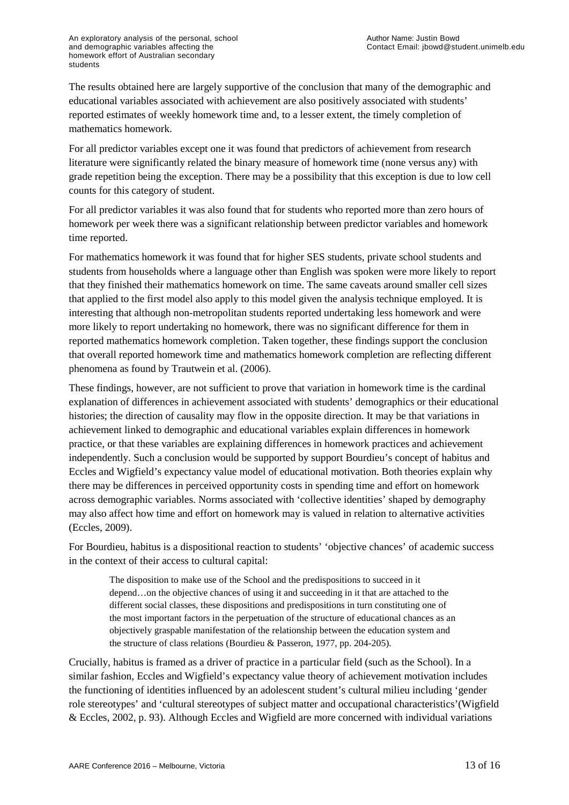The results obtained here are largely supportive of the conclusion that many of the demographic and educational variables associated with achievement are also positively associated with students' reported estimates of weekly homework time and, to a lesser extent, the timely completion of mathematics homework.

For all predictor variables except one it was found that predictors of achievement from research literature were significantly related the binary measure of homework time (none versus any) with grade repetition being the exception. There may be a possibility that this exception is due to low cell counts for this category of student.

For all predictor variables it was also found that for students who reported more than zero hours of homework per week there was a significant relationship between predictor variables and homework time reported.

For mathematics homework it was found that for higher SES students, private school students and students from households where a language other than English was spoken were more likely to report that they finished their mathematics homework on time. The same caveats around smaller cell sizes that applied to the first model also apply to this model given the analysis technique employed. It is interesting that although non-metropolitan students reported undertaking less homework and were more likely to report undertaking no homework, there was no significant difference for them in reported mathematics homework completion. Taken together, these findings support the conclusion that overall reported homework time and mathematics homework completion are reflecting different phenomena as found by Trautwein et al. [\(2006\)](#page-15-17).

These findings, however, are not sufficient to prove that variation in homework time is the cardinal explanation of differences in achievement associated with students' demographics or their educational histories; the direction of causality may flow in the opposite direction. It may be that variations in achievement linked to demographic and educational variables explain differences in homework practice, or that these variables are explaining differences in homework practices and achievement independently. Such a conclusion would be supported by support Bourdieu's concept of habitus and Eccles and Wigfield's expectancy value model of educational motivation. Both theories explain why there may be differences in perceived opportunity costs in spending time and effort on homework across demographic variables. Norms associated with 'collective identities' shaped by demography may also affect how time and effort on homework may is valued in relation to alternative activities [\(Eccles, 2009\)](#page-14-21).

For Bourdieu, habitus is a dispositional reaction to students' 'objective chances' of academic success in the context of their access to cultural capital:

The disposition to make use of the School and the predispositions to succeed in it depend…on the objective chances of using it and succeeding in it that are attached to the different social classes, these dispositions and predispositions in turn constituting one of the most important factors in the perpetuation of the structure of educational chances as an objectively graspable manifestation of the relationship between the education system and the structure of class relations [\(Bourdieu & Passeron, 1977, pp. 204-205\)](#page-14-1).

Crucially, habitus is framed as a driver of practice in a particular field (such as the School). In a similar fashion, Eccles and Wigfield's expectancy value theory of achievement motivation includes the functioning of identities influenced by an adolescent student's cultural milieu including 'gender role stereotypes' and 'cultural stereotypes of subject matter and occupational characteristics'[\(Wigfield](#page-15-2)  [& Eccles, 2002, p. 93\)](#page-15-2). Although Eccles and Wigfield are more concerned with individual variations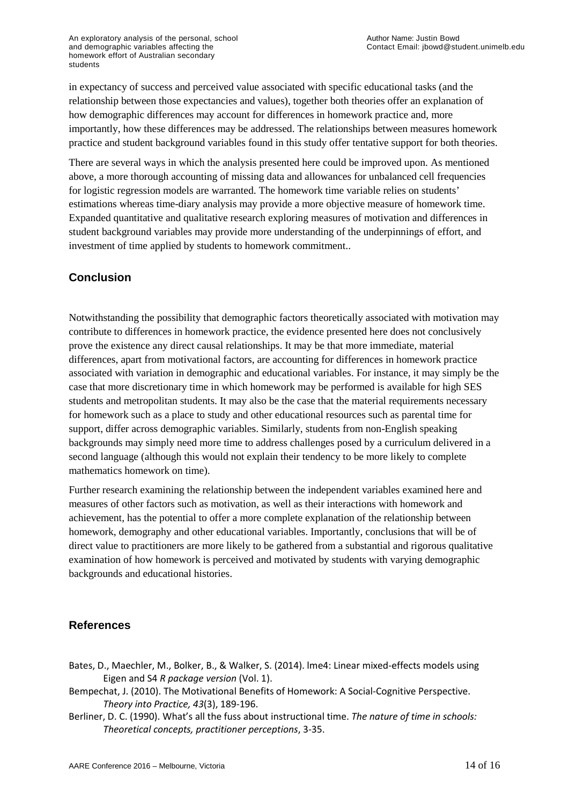in expectancy of success and perceived value associated with specific educational tasks (and the relationship between those expectancies and values), together both theories offer an explanation of how demographic differences may account for differences in homework practice and, more importantly, how these differences may be addressed. The relationships between measures homework practice and student background variables found in this study offer tentative support for both theories.

There are several ways in which the analysis presented here could be improved upon. As mentioned above, a more thorough accounting of missing data and allowances for unbalanced cell frequencies for logistic regression models are warranted. The homework time variable relies on students' estimations whereas time-diary analysis may provide a more objective measure of homework time. Expanded quantitative and qualitative research exploring measures of motivation and differences in student background variables may provide more understanding of the underpinnings of effort, and investment of time applied by students to homework commitment..

# **Conclusion**

Notwithstanding the possibility that demographic factors theoretically associated with motivation may contribute to differences in homework practice, the evidence presented here does not conclusively prove the existence any direct causal relationships. It may be that more immediate, material differences, apart from motivational factors, are accounting for differences in homework practice associated with variation in demographic and educational variables. For instance, it may simply be the case that more discretionary time in which homework may be performed is available for high SES students and metropolitan students. It may also be the case that the material requirements necessary for homework such as a place to study and other educational resources such as parental time for support, differ across demographic variables. Similarly, students from non-English speaking backgrounds may simply need more time to address challenges posed by a curriculum delivered in a second language (although this would not explain their tendency to be more likely to complete mathematics homework on time).

Further research examining the relationship between the independent variables examined here and measures of other factors such as motivation, as well as their interactions with homework and achievement, has the potential to offer a more complete explanation of the relationship between homework, demography and other educational variables. Importantly, conclusions that will be of direct value to practitioners are more likely to be gathered from a substantial and rigorous qualitative examination of how homework is perceived and motivated by students with varying demographic backgrounds and educational histories.

#### **References**

- <span id="page-13-2"></span>Bates, D., Maechler, M., Bolker, B., & Walker, S. (2014). lme4: Linear mixed-effects models using Eigen and S4 *R package version* (Vol. 1).
- <span id="page-13-0"></span>Bempechat, J. (2010). The Motivational Benefits of Homework: A Social-Cognitive Perspective. *Theory into Practice, 43*(3), 189-196.
- <span id="page-13-1"></span>Berliner, D. C. (1990). What's all the fuss about instructional time. *The nature of time in schools: Theoretical concepts, practitioner perceptions*, 3-35.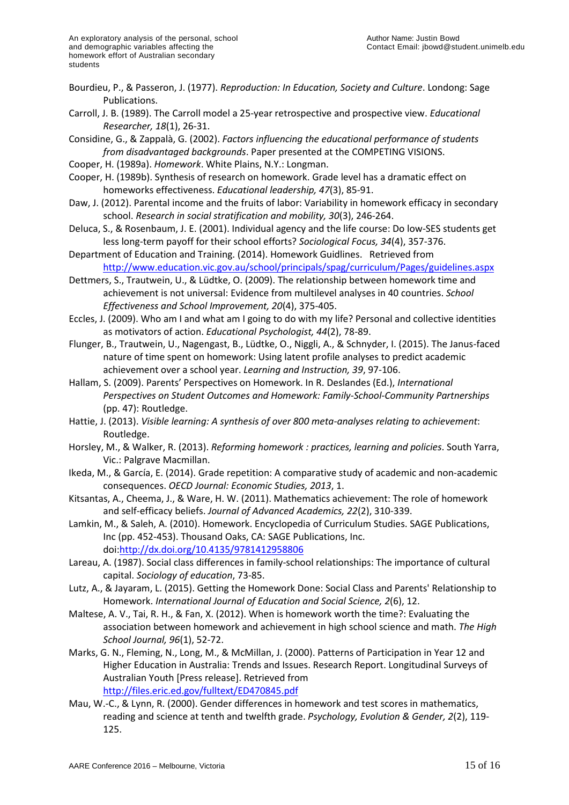- <span id="page-14-1"></span>Bourdieu, P., & Passeron, J. (1977). *Reproduction: In Education, Society and Culture*. Londong: Sage Publications.
- <span id="page-14-12"></span>Carroll, J. B. (1989). The Carroll model a 25-year retrospective and prospective view. *Educational Researcher, 18*(1), 26-31.

<span id="page-14-20"></span>Considine, G., & Zappalà, G. (2002). *Factors influencing the educational performance of students from disadvantaged backgrounds*. Paper presented at the COMPETING VISIONS.

- <span id="page-14-8"></span>Cooper, H. (1989a). *Homework*. White Plains, N.Y.: Longman.
- <span id="page-14-6"></span>Cooper, H. (1989b). Synthesis of research on homework. Grade level has a dramatic effect on homeworks effectiveness. *Educational leadership, 47*(3), 85-91.
- <span id="page-14-3"></span>Daw, J. (2012). Parental income and the fruits of labor: Variability in homework efficacy in secondary school. *Research in social stratification and mobility, 30*(3), 246-264.
- <span id="page-14-18"></span>Deluca, S., & Rosenbaum, J. E. (2001). Individual agency and the life course: Do low-SES students get less long-term payoff for their school efforts? *Sociological Focus, 34*(4), 357-376.
- <span id="page-14-7"></span>Department of Education and Training. (2014). Homework Guidlines. Retrieved from <http://www.education.vic.gov.au/school/principals/spag/curriculum/Pages/guidelines.aspx>
- <span id="page-14-10"></span>Dettmers, S., Trautwein, U., & Lüdtke, O. (2009). The relationship between homework time and achievement is not universal: Evidence from multilevel analyses in 40 countries. *School Effectiveness and School Improvement, 20*(4), 375-405.
- <span id="page-14-21"></span>Eccles, J. (2009). Who am I and what am I going to do with my life? Personal and collective identities as motivators of action. *Educational Psychologist, 44*(2), 78-89.
- <span id="page-14-11"></span>Flunger, B., Trautwein, U., Nagengast, B., Lüdtke, O., Niggli, A., & Schnyder, I. (2015). The Janus-faced nature of time spent on homework: Using latent profile analyses to predict academic achievement over a school year. *Learning and Instruction, 39*, 97-106.
- <span id="page-14-14"></span>Hallam, S. (2009). Parents' Perspectives on Homework. In R. Deslandes (Ed.), *International Perspectives on Student Outcomes and Homework: Family-School-Community Partnerships* (pp. 47): Routledge.
- <span id="page-14-9"></span>Hattie, J. (2013). *Visible learning: A synthesis of over 800 meta-analyses relating to achievement*: Routledge.
- <span id="page-14-2"></span>Horsley, M., & Walker, R. (2013). *Reforming homework : practices, learning and policies*. South Yarra, Vic.: Palgrave Macmillan.
- <span id="page-14-17"></span>Ikeda, M., & García, E. (2014). Grade repetition: A comparative study of academic and non-academic consequences. *OECD Journal: Economic Studies, 2013*, 1.
- <span id="page-14-13"></span>Kitsantas, A., Cheema, J., & Ware, H. W. (2011). Mathematics achievement: The role of homework and self-efficacy beliefs. *Journal of Advanced Academics, 22*(2), 310-339.
- <span id="page-14-15"></span>Lamkin, M., & Saleh, A. (2010). Homework. Encyclopedia of Curriculum Studies. SAGE Publications, Inc (pp. 452-453). Thousand Oaks, CA: SAGE Publications, Inc. doi[:http://dx.doi.org/10.4135/9781412958806](http://dx.doi.org/10.4135/9781412958806)
- <span id="page-14-0"></span>Lareau, A. (1987). Social class differences in family-school relationships: The importance of cultural capital. *Sociology of education*, 73-85.
- <span id="page-14-4"></span>Lutz, A., & Jayaram, L. (2015). Getting the Homework Done: Social Class and Parents' Relationship to Homework. *International Journal of Education and Social Science, 2*(6), 12.
- <span id="page-14-5"></span>Maltese, A. V., Tai, R. H., & Fan, X. (2012). When is homework worth the time?: Evaluating the association between homework and achievement in high school science and math. *The High School Journal, 96*(1), 52-72.
- <span id="page-14-19"></span>Marks, G. N., Fleming, N., Long, M., & McMillan, J. (2000). Patterns of Participation in Year 12 and Higher Education in Australia: Trends and Issues. Research Report. Longitudinal Surveys of Australian Youth [Press release]. Retrieved from <http://files.eric.ed.gov/fulltext/ED470845.pdf>
- <span id="page-14-16"></span>Mau, W.-C., & Lynn, R. (2000). Gender differences in homework and test scores in mathematics, reading and science at tenth and twelfth grade. *Psychology, Evolution & Gender, 2*(2), 119- 125.